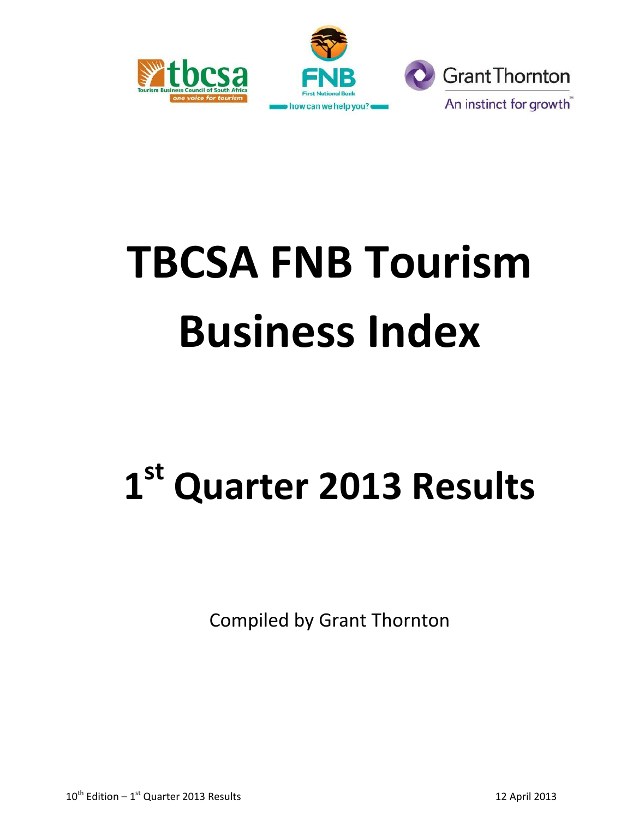



# **TBCSA FNB Tourism Business Index**

# **1 st Quarter 2013 Results**

Compiled by Grant Thornton

 $10^{\text{th}}$  Edition –  $1^{\text{st}}$  Quarter 2013 Results 12 April 2013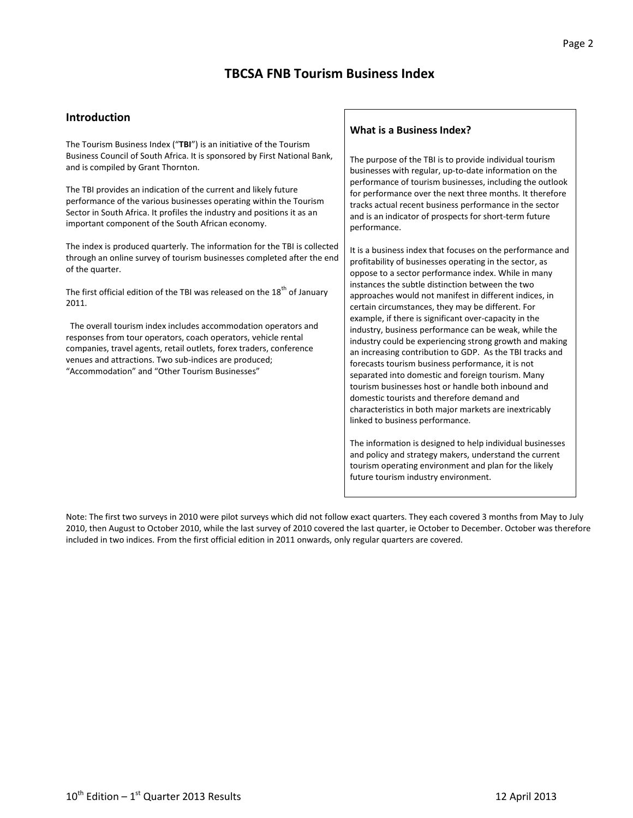# **TBCSA FNB Tourism Business Index**

#### **Introduction**

The Tourism Business Index ("**TBI**") is an initiative of the Tourism Business Council of South Africa. It is sponsored by First National Bank, and is compiled by Grant Thornton.

The TBI provides an indication of the current and likely future performance of the various businesses operating within the Tourism Sector in South Africa. It profiles the industry and positions it as an important component of the South African economy.

The index is produced quarterly. The information for the TBI is collected through an online survey of tourism businesses completed after the end of the quarter.

The first official edition of the TBI was released on the 18<sup>th</sup> of January 2011.

 The overall tourism index includes accommodation operators and responses from tour operators, coach operators, vehicle rental companies, travel agents, retail outlets, forex traders, conference venues and attractions. Two sub-indices are produced; "Accommodation" and "Other Tourism Businesses"

#### **What is a Business Index?**

The purpose of the TBI is to provide individual tourism businesses with regular, up-to-date information on the performance of tourism businesses, including the outlook for performance over the next three months. It therefore tracks actual recent business performance in the sector and is an indicator of prospects for short-term future performance.

It is a business index that focuses on the performance and profitability of businesses operating in the sector, as oppose to a sector performance index. While in many instances the subtle distinction between the two approaches would not manifest in different indices, in certain circumstances, they may be different. For example, if there is significant over-capacity in the industry, business performance can be weak, while the industry could be experiencing strong growth and making an increasing contribution to GDP. As the TBI tracks and forecasts tourism business performance, it is not separated into domestic and foreign tourism. Many tourism businesses host or handle both inbound and domestic tourists and therefore demand and characteristics in both major markets are inextricably linked to business performance.

The information is designed to help individual businesses and policy and strategy makers, understand the current tourism operating environment and plan for the likely future tourism industry environment.

Note: The first two surveys in 2010 were pilot surveys which did not follow exact quarters. They each covered 3 months from May to July 2010, then August to October 2010, while the last survey of 2010 covered the last quarter, ie October to December. October was therefore included in two indices. From the first official edition in 2011 onwards, only regular quarters are covered.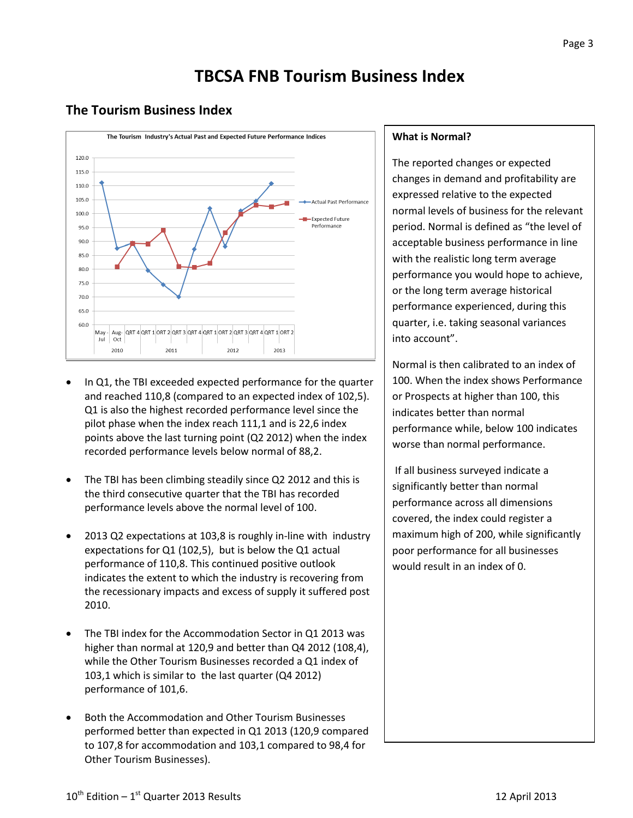# **TBCSA FNB Tourism Business Index**

### **The Tourism Business Index**



- In Q1, the TBI exceeded expected performance for the quarter and reached 110,8 (compared to an expected index of 102,5). Q1 is also the highest recorded performance level since the pilot phase when the index reach 111,1 and is 22,6 index points above the last turning point (Q2 2012) when the index recorded performance levels below normal of 88,2.
- The TBI has been climbing steadily since Q2 2012 and this is the third consecutive quarter that the TBI has recorded performance levels above the normal level of 100.
- 2013 Q2 expectations at 103,8 is roughly in-line with industry expectations for Q1 (102,5), but is below the Q1 actual performance of 110,8. This continued positive outlook indicates the extent to which the industry is recovering from the recessionary impacts and excess of supply it suffered post 2010.
- The TBI index for the Accommodation Sector in Q1 2013 was higher than normal at 120,9 and better than Q4 2012 (108,4), while the Other Tourism Businesses recorded a Q1 index of 103,1 which is similar to the last quarter (Q4 2012) performance of 101,6.
- Both the Accommodation and Other Tourism Businesses performed better than expected in Q1 2013 (120,9 compared to 107,8 for accommodation and 103,1 compared to 98,4 for Other Tourism Businesses).

#### **What is Normal?**

The reported changes or expected changes in demand and profitability are expressed relative to the expected normal levels of business for the relevant period. Normal is defined as "the level of acceptable business performance in line with the realistic long term average performance you would hope to achieve, or the long term average historical performance experienced, during this quarter, i.e. taking seasonal variances into account".

Normal is then calibrated to an index of 100. When the index shows Performance or Prospects at higher than 100, this indicates better than normal performance while, below 100 indicates worse than normal performance.

If all business surveyed indicate a significantly better than normal performance across all dimensions covered, the index could register a maximum high of 200, while significantly poor performance for all businesses would result in an index of 0.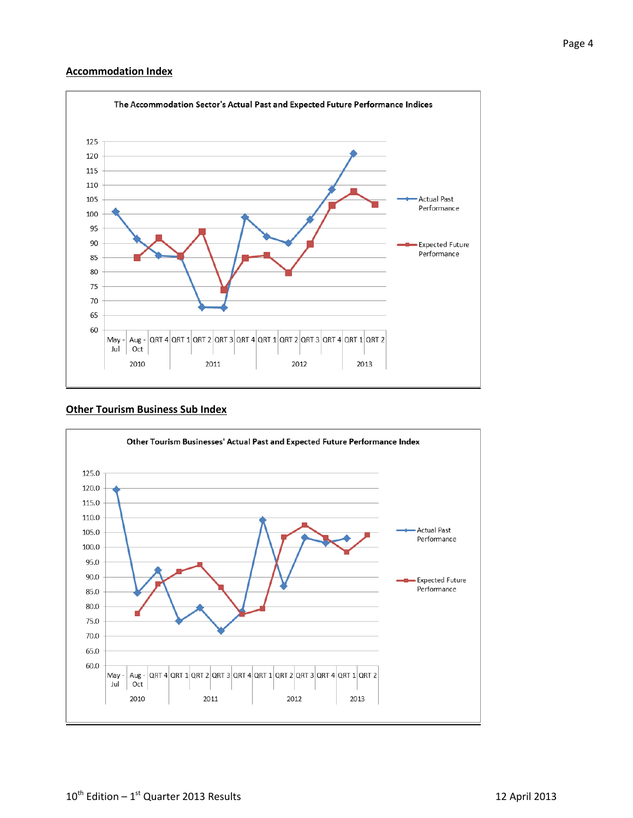#### **Accommodation Index**



#### **Other Tourism Business Sub Index**

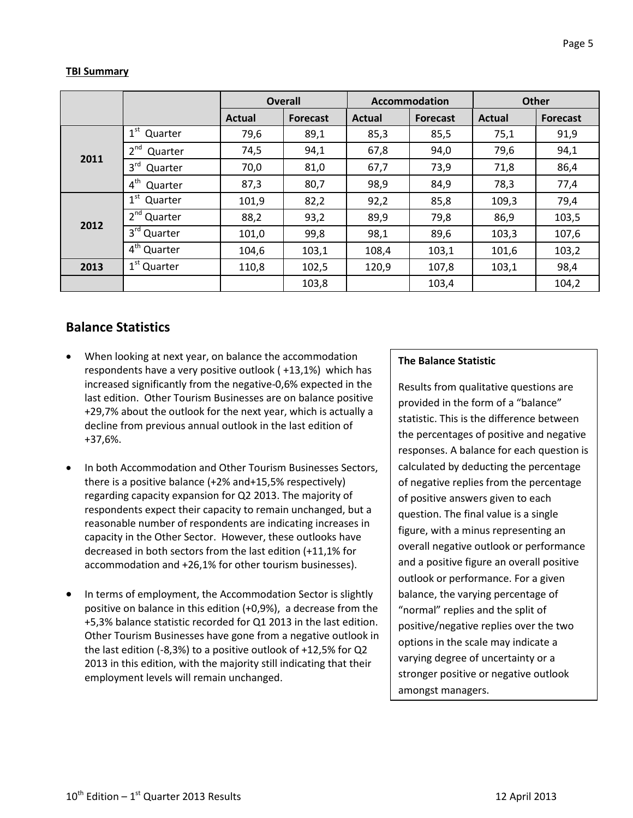#### **TBI Summary**

|      |                            | <b>Overall</b> |                 |               | <b>Accommodation</b> | <b>Other</b> |                 |
|------|----------------------------|----------------|-----------------|---------------|----------------------|--------------|-----------------|
|      |                            | Actual         | <b>Forecast</b> | <b>Actual</b> | <b>Forecast</b>      | Actual       | <b>Forecast</b> |
| 2011 | 1 <sup>st</sup><br>Quarter | 79,6           | 89,1            | 85,3          | 85,5                 | 75,1         | 91,9            |
|      | 2 <sup>nd</sup><br>Quarter | 74,5           | 94,1            | 67,8          | 94,0                 | 79,6         | 94,1            |
|      | 3 <sup>rd</sup><br>Quarter | 70,0           | 81,0            | 67,7          | 73,9                 | 71,8         | 86,4            |
|      | 4 <sup>th</sup><br>Quarter | 87,3           | 80,7            | 98,9          | 84,9                 | 78,3         | 77,4            |
| 2012 | $1^{\rm st}$<br>Quarter    | 101,9          | 82,2            | 92,2          | 85,8                 | 109,3        | 79,4            |
|      | 2 <sup>nd</sup> Quarter    | 88,2           | 93,2            | 89,9          | 79,8                 | 86,9         | 103,5           |
|      | $3rd$ Quarter              | 101,0          | 99,8            | 98,1          | 89,6                 | 103,3        | 107,6           |
|      | 4 <sup>th</sup> Quarter    | 104,6          | 103,1           | 108,4         | 103,1                | 101,6        | 103,2           |
| 2013 | $1st$ Quarter              | 110,8          | 102,5           | 120,9         | 107,8                | 103,1        | 98,4            |
|      |                            |                | 103,8           |               | 103,4                |              | 104,2           |

## **Balance Statistics**

- When looking at next year, on balance the accommodation respondents have a very positive outlook ( +13,1%) which has increased significantly from the negative-0,6% expected in the last edition. Other Tourism Businesses are on balance positive +29,7% about the outlook for the next year, which is actually a decline from previous annual outlook in the last edition of +37,6%.
- In both Accommodation and Other Tourism Businesses Sectors, there is a positive balance (+2% and+15,5% respectively) regarding capacity expansion for Q2 2013. The majority of respondents expect their capacity to remain unchanged, but a reasonable number of respondents are indicating increases in capacity in the Other Sector. However, these outlooks have decreased in both sectors from the last edition (+11,1% for accommodation and +26,1% for other tourism businesses).
- In terms of employment, the Accommodation Sector is slightly positive on balance in this edition (+0,9%), a decrease from the +5,3% balance statistic recorded for Q1 2013 in the last edition. Other Tourism Businesses have gone from a negative outlook in the last edition (-8,3%) to a positive outlook of +12,5% for Q2 2013 in this edition, with the majority still indicating that their employment levels will remain unchanged.

#### **The Balance Statistic**

Results from qualitative questions are provided in the form of a "balance" statistic. This is the difference between the percentages of positive and negative responses. A balance for each question is calculated by deducting the percentage of negative replies from the percentage of positive answers given to each question. The final value is a single figure, with a minus representing an overall negative outlook or performance and a positive figure an overall positive outlook or performance. For a given balance, the varying percentage of "normal" replies and the split of positive/negative replies over the two options in the scale may indicate a varying degree of uncertainty or a stronger positive or negative outlook amongst managers.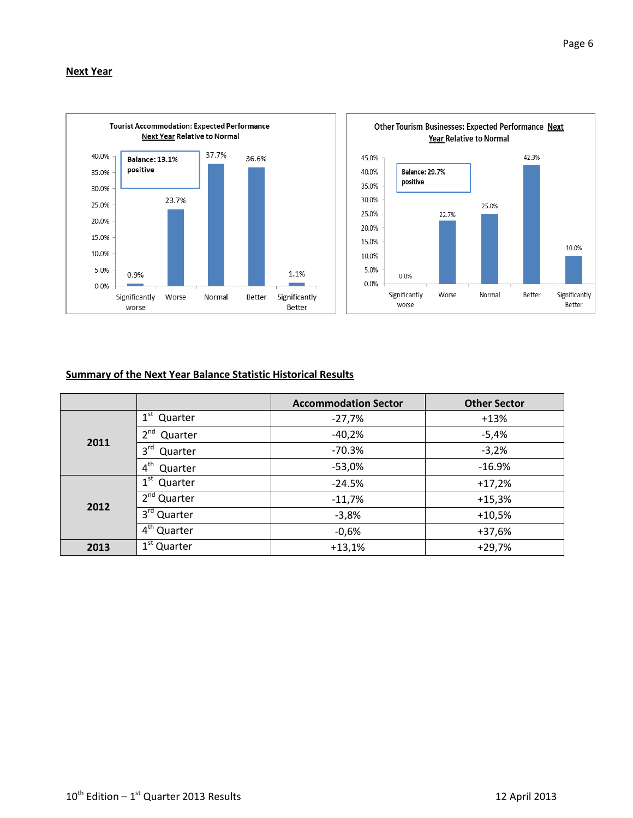



#### **Summary of the Next Year Balance Statistic Historical Results**

|      |                                 | <b>Accommodation Sector</b> | <b>Other Sector</b> |
|------|---------------------------------|-----------------------------|---------------------|
|      | 1 <sup>st</sup><br>Quarter      | $-27,7%$                    | $+13%$              |
|      | 2 <sup>nd</sup><br>Quarter      | $-40,2%$                    | $-5,4%$             |
| 2011 | $3^{\text{rd}}$<br>Quarter      | $-70.3%$                    | $-3,2%$             |
|      | $4^{\text{th}}$<br>Quarter      | $-53,0%$                    | $-16.9%$            |
|      | $1^{\rm st}$<br>Quarter         | $-24.5%$                    | $+17,2%$            |
|      | $2nd$ Quarter                   | $-11,7%$                    | $+15,3%$            |
| 2012 | 3rd Quarter                     | $-3,8%$                     | $+10,5%$            |
|      | $4th$ Quarter                   | $-0,6%$                     | $+37,6%$            |
| 2013 | $\overline{1}^{\rm st}$ Quarter | $+13,1%$                    | $+29,7%$            |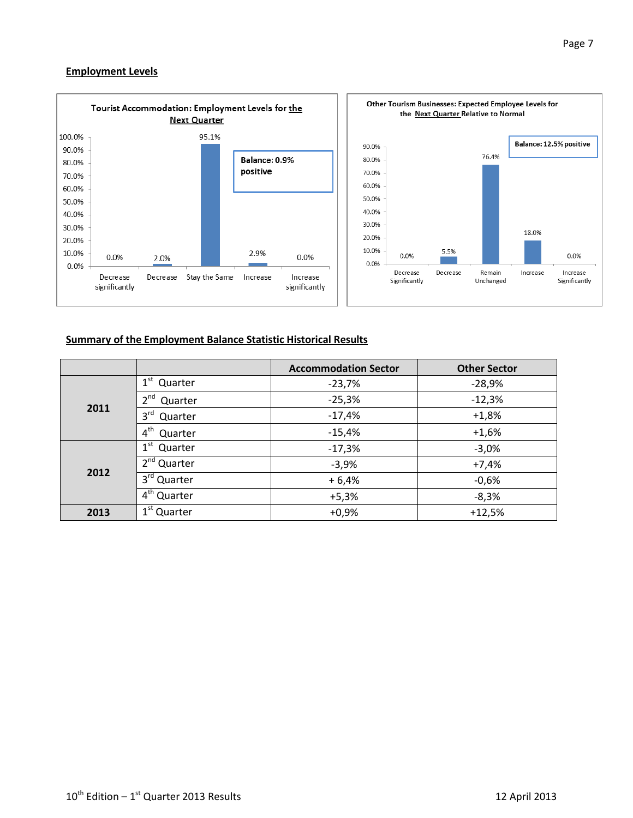#### **Employment Levels**



#### **Summary of the Employment Balance Statistic Historical Results**

|      |                            | <b>Accommodation Sector</b> | <b>Other Sector</b> |  |  |
|------|----------------------------|-----------------------------|---------------------|--|--|
|      | $1^{\rm st}$<br>Quarter    | $-23,7%$                    | $-28,9%$            |  |  |
| 2011 | $2^{nd}$<br>Quarter        | $-25,3%$                    | $-12,3%$            |  |  |
|      | $3^{\text{rd}}$<br>Quarter | $-17,4%$                    | $+1,8%$             |  |  |
|      | $4^{\text{th}}$<br>Quarter | $-15,4%$                    | $+1,6%$             |  |  |
|      | $1^{\rm st}$<br>Quarter    | $-17,3%$                    | $-3,0%$             |  |  |
|      | 2 <sup>nd</sup> Quarter    | $-3,9%$                     | $+7,4%$             |  |  |
| 2012 | 3rd Quarter                | $+6,4%$                     | $-0,6%$             |  |  |
|      | 4 <sup>th</sup> Quarter    | $+5,3%$                     | $-8,3%$             |  |  |
| 2013 | 1 <sup>st</sup> Quarter    | $+0,9%$                     | $+12,5%$            |  |  |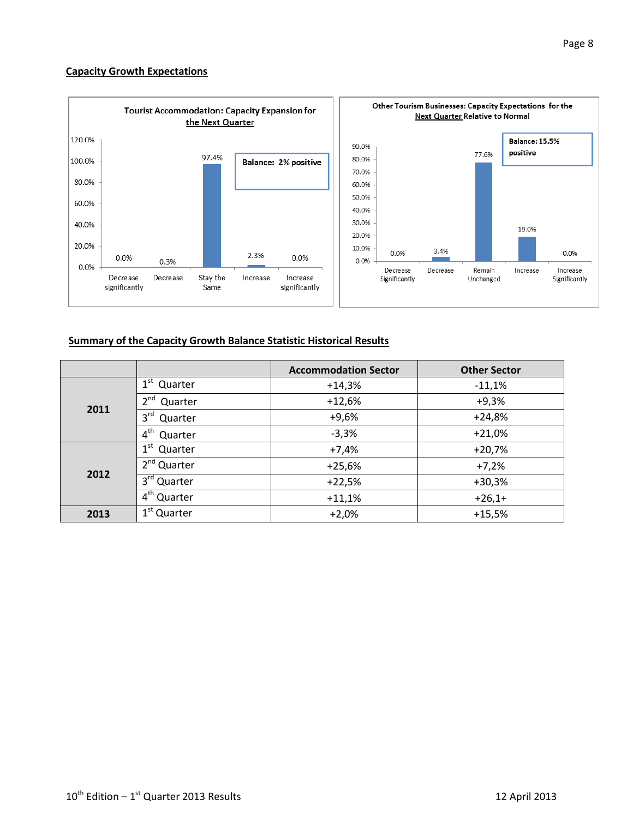#### **Capacity Growth Expectations**



#### **Summary of the Capacity Growth Balance Statistic Historical Results**

|      |                            | <b>Accommodation Sector</b> | <b>Other Sector</b> |  |  |
|------|----------------------------|-----------------------------|---------------------|--|--|
|      | $1^{\rm st}$<br>Quarter    | $+14,3%$                    | $-11,1%$            |  |  |
| 2011 | 2 <sup>nd</sup><br>Quarter | $+12,6%$                    | $+9,3%$             |  |  |
|      | 3 <sup>rd</sup><br>Quarter | $+9,6%$                     | $+24,8%$            |  |  |
|      | 4 <sup>th</sup><br>Quarter | $-3,3%$                     | $+21,0%$            |  |  |
|      | $1^{\rm st}$<br>Quarter    | $+7,4%$                     | $+20,7%$            |  |  |
| 2012 | $2nd$ Quarter              | $+25,6%$                    | $+7,2%$             |  |  |
|      | 3 <sup>rd</sup> Quarter    | $+22,5%$                    | $+30,3%$            |  |  |
|      | $4th$ Quarter              | $+11,1%$                    | $+26,1+$            |  |  |
| 2013 | 1 <sup>st</sup> Quarter    | $+2,0%$                     | $+15,5%$            |  |  |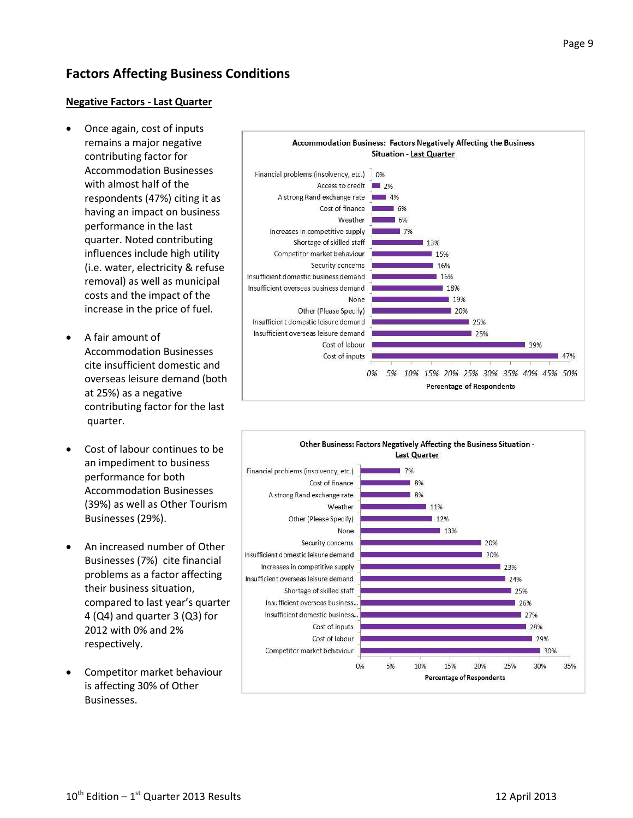# **Factors Affecting Business Conditions**

#### **Negative Factors - Last Quarter**

- Once again, cost of inputs remains a major negative contributing factor for Accommodation Businesses with almost half of the respondents (47%) citing it as having an impact on business performance in the last quarter. Noted contributing influences include high utility (i.e. water, electricity & refuse removal) as well as municipal costs and the impact of the increase in the price of fuel.
- A fair amount of Accommodation Businesses cite insufficient domestic and overseas leisure demand (both at 25%) as a negative contributing factor for the last quarter.
- Cost of labour continues to be an impediment to business performance for both Accommodation Businesses (39%) as well as Other Tourism Businesses (29%).
- An increased number of Other Businesses (7%) cite financial problems as a factor affecting their business situation, compared to last year's quarter 4 (Q4) and quarter 3 (Q3) for 2012 with 0% and 2% respectively.
- Competitor market behaviour is affecting 30% of Other Businesses.



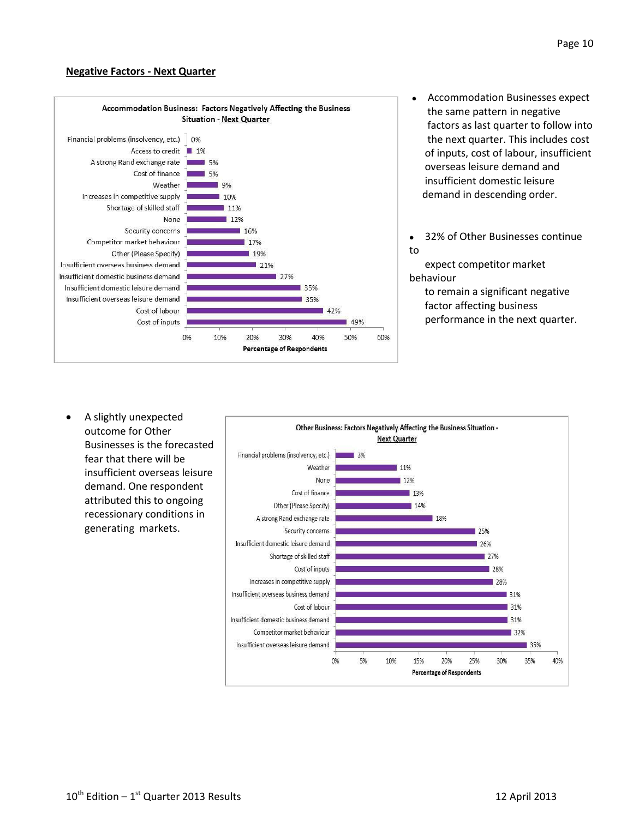#### **Negative Factors - Next Quarter**



- Accommodation Businesses expect the same pattern in negative factors as last quarter to follow into the next quarter. This includes cost of inputs, cost of labour, insufficient overseas leisure demand and insufficient domestic leisure demand in descending order.
- 32% of Other Businesses continue to

 expect competitor market behaviour

 to remain a significant negative factor affecting business performance in the next quarter.

 A slightly unexpected outcome for Other Businesses is the forecasted fear that there will be insufficient overseas leisure demand. One respondent attributed this to ongoing recessionary conditions in generating markets.

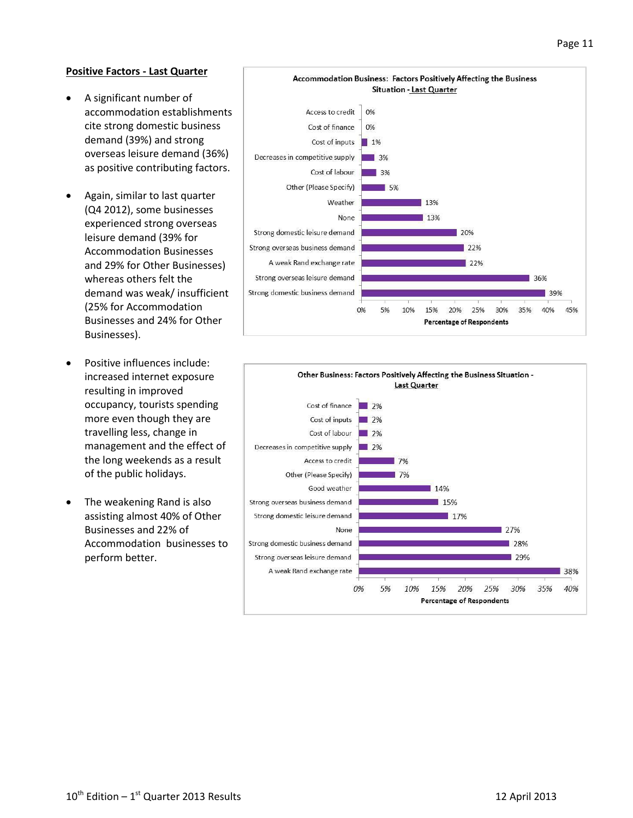#### **Positive Factors - Last Quarter**

- A significant number of accommodation establishments cite strong domestic business demand (39%) and strong overseas leisure demand (36%) as positive contributing factors.
- Again, similar to last quarter (Q4 2012), some businesses experienced strong overseas leisure demand (39% for Accommodation Businesses and 29% for Other Businesses) whereas others felt the demand was weak/ insufficient (25% for Accommodation Businesses and 24% for Other Businesses).
- Positive influences include: increased internet exposure resulting in improved occupancy, tourists spending more even though they are travelling less, change in management and the effect of the long weekends as a result of the public holidays.
- The weakening Rand is also assisting almost 40% of Other Businesses and 22% of Accommodation businesses to perform better.



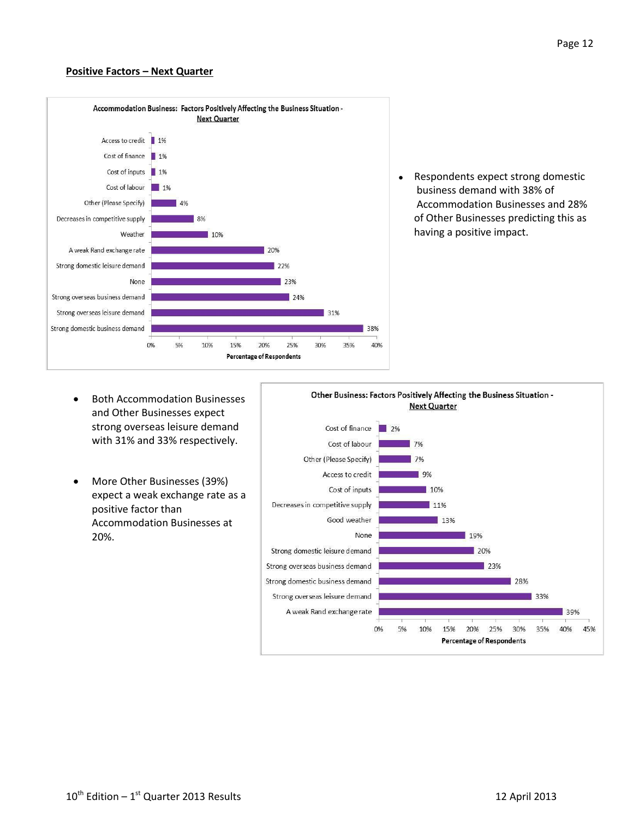#### **Positive Factors – Next Quarter**



• Respondents expect strong domestic business demand with 38% of Accommodation Businesses and 28% of Other Businesses predicting this as having a positive impact.

- Both Accommodation Businesses and Other Businesses expect strong overseas leisure demand with 31% and 33% respectively.
- More Other Businesses (39%) expect a weak exchange rate as a positive factor than Accommodation Businesses at 20%.

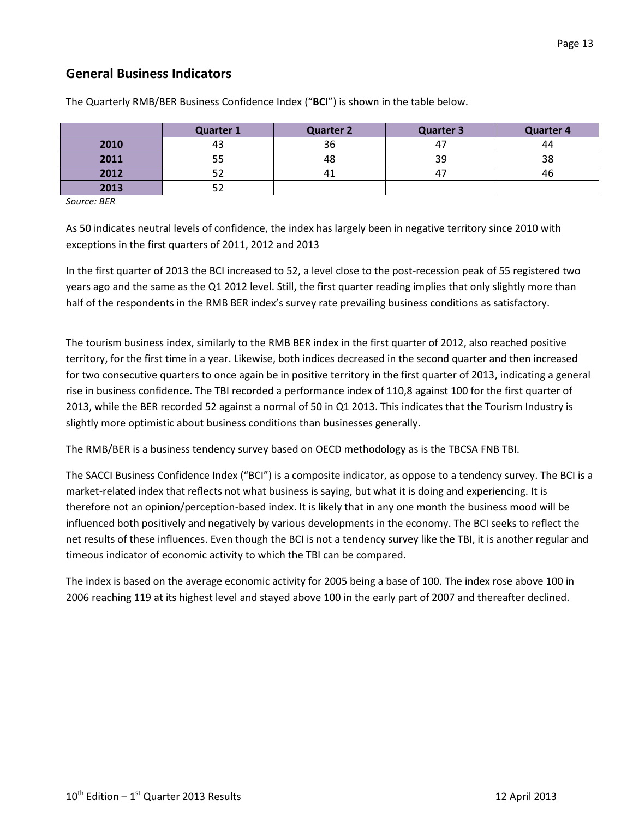## **General Business Indicators**

|      | <b>Quarter 1</b> | <b>Quarter 2</b> | <b>Quarter 3</b> | <b>Quarter 4</b> |
|------|------------------|------------------|------------------|------------------|
| 2010 | 43               | 36               | 47               | 44               |
| 2011 | ככ               | 48               | 39               | 38               |
| 2012 | ے ر              |                  | 4 <sub>1</sub>   | 46               |
| 2013 | ے ر              |                  |                  |                  |

The Quarterly RMB/BER Business Confidence Index ("**BCI**") is shown in the table below.

*Source: BER*

As 50 indicates neutral levels of confidence, the index has largely been in negative territory since 2010 with exceptions in the first quarters of 2011, 2012 and 2013

In the first quarter of 2013 the BCI increased to 52, a level close to the post-recession peak of 55 registered two years ago and the same as the Q1 2012 level. Still, the first quarter reading implies that only slightly more than half of the respondents in the RMB BER index's survey rate prevailing business conditions as satisfactory.

The tourism business index, similarly to the RMB BER index in the first quarter of 2012, also reached positive territory, for the first time in a year. Likewise, both indices decreased in the second quarter and then increased for two consecutive quarters to once again be in positive territory in the first quarter of 2013, indicating a general rise in business confidence. The TBI recorded a performance index of 110,8 against 100 for the first quarter of 2013, while the BER recorded 52 against a normal of 50 in Q1 2013. This indicates that the Tourism Industry is slightly more optimistic about business conditions than businesses generally.

The RMB/BER is a business tendency survey based on OECD methodology as is the TBCSA FNB TBI.

The SACCI Business Confidence Index ("BCI") is a composite indicator, as oppose to a tendency survey. The BCI is a market-related index that reflects not what business is saying, but what it is doing and experiencing. It is therefore not an opinion/perception-based index. It is likely that in any one month the business mood will be influenced both positively and negatively by various developments in the economy. The BCI seeks to reflect the net results of these influences. Even though the BCI is not a tendency survey like the TBI, it is another regular and timeous indicator of economic activity to which the TBI can be compared.

The index is based on the average economic activity for 2005 being a base of 100. The index rose above 100 in 2006 reaching 119 at its highest level and stayed above 100 in the early part of 2007 and thereafter declined.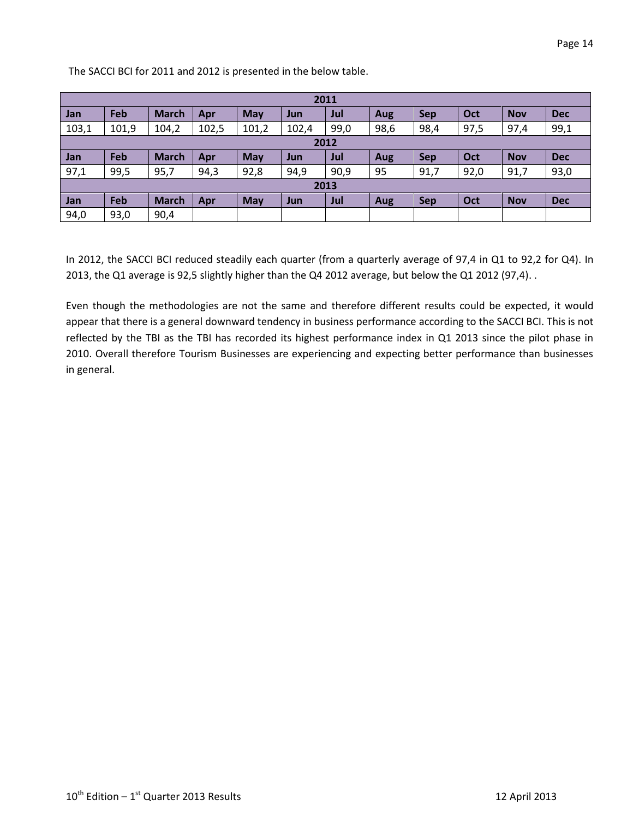The SACCI BCI for 2011 and 2012 is presented in the below table.

| 2011  |       |              |       |       |       |      |      |            |      |            |            |
|-------|-------|--------------|-------|-------|-------|------|------|------------|------|------------|------------|
| Jan   | Feb   | <b>March</b> | Apr   | May   | Jun   | Jul  | Aug  | <b>Sep</b> | Oct  | <b>Nov</b> | <b>Dec</b> |
| 103,1 | 101,9 | 104,2        | 102,5 | 101,2 | 102,4 | 99,0 | 98,6 | 98,4       | 97,5 | 97,4       | 99,1       |
| 2012  |       |              |       |       |       |      |      |            |      |            |            |
| Jan   | Feb   | <b>March</b> | Apr   | May   | Jun   | Jul  | Aug  | <b>Sep</b> | Oct  | <b>Nov</b> | <b>Dec</b> |
| 97,1  | 99,5  | 95,7         | 94,3  | 92,8  | 94,9  | 90,9 | 95   | 91,7       | 92,0 | 91,7       | 93,0       |
| 2013  |       |              |       |       |       |      |      |            |      |            |            |
| Jan   | Feb   | <b>March</b> | Apr   | May   | Jun   | Jul  | Aug  | Sep        | Oct  | <b>Nov</b> | <b>Dec</b> |
| 94,0  | 93,0  | 90,4         |       |       |       |      |      |            |      |            |            |

In 2012, the SACCI BCI reduced steadily each quarter (from a quarterly average of 97,4 in Q1 to 92,2 for Q4). In 2013, the Q1 average is 92,5 slightly higher than the Q4 2012 average, but below the Q1 2012 (97,4). .

Even though the methodologies are not the same and therefore different results could be expected, it would appear that there is a general downward tendency in business performance according to the SACCI BCI. This is not reflected by the TBI as the TBI has recorded its highest performance index in Q1 2013 since the pilot phase in 2010. Overall therefore Tourism Businesses are experiencing and expecting better performance than businesses in general.